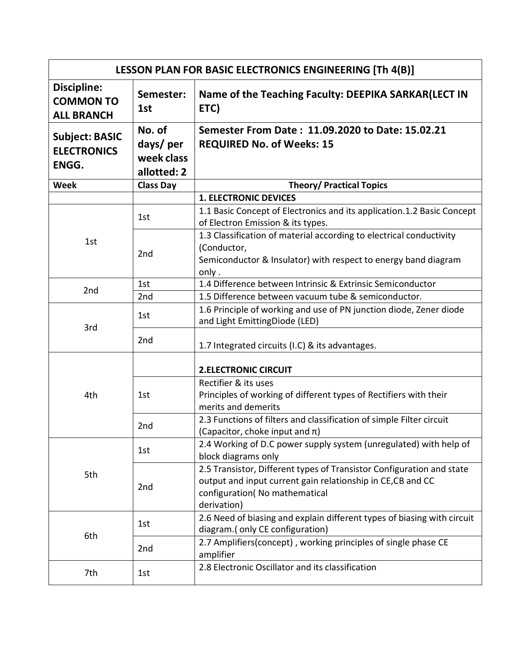| LESSON PLAN FOR BASIC ELECTRONICS ENGINEERING [Th 4(B)]     |                                                 |                                                                                                                                                                                      |  |
|-------------------------------------------------------------|-------------------------------------------------|--------------------------------------------------------------------------------------------------------------------------------------------------------------------------------------|--|
| <b>Discipline:</b><br><b>COMMON TO</b><br><b>ALL BRANCH</b> | Semester:<br>1st                                | Name of the Teaching Faculty: DEEPIKA SARKAR(LECT IN<br>ETC)                                                                                                                         |  |
| <b>Subject: BASIC</b><br><b>ELECTRONICS</b><br>ENGG.        | No. of<br>days/per<br>week class<br>allotted: 2 | Semester From Date: 11.09.2020 to Date: 15.02.21<br><b>REQUIRED No. of Weeks: 15</b>                                                                                                 |  |
| <b>Week</b>                                                 | <b>Class Day</b>                                | <b>Theory/ Practical Topics</b>                                                                                                                                                      |  |
|                                                             |                                                 | <b>1. ELECTRONIC DEVICES</b>                                                                                                                                                         |  |
| 1st                                                         | 1st                                             | 1.1 Basic Concept of Electronics and its application.1.2 Basic Concept<br>of Electron Emission & its types.                                                                          |  |
|                                                             | 2nd                                             | 1.3 Classification of material according to electrical conductivity<br>(Conductor,<br>Semiconductor & Insulator) with respect to energy band diagram<br>only.                        |  |
| 2nd                                                         | 1st                                             | 1.4 Difference between Intrinsic & Extrinsic Semiconductor                                                                                                                           |  |
|                                                             | 2nd                                             | 1.5 Difference between vacuum tube & semiconductor.                                                                                                                                  |  |
| 3rd                                                         | 1st                                             | 1.6 Principle of working and use of PN junction diode, Zener diode<br>and Light EmittingDiode (LED)                                                                                  |  |
|                                                             | 2nd                                             | 1.7 Integrated circuits (I.C) & its advantages.                                                                                                                                      |  |
| 4th                                                         |                                                 | <b>2.ELECTRONIC CIRCUIT</b>                                                                                                                                                          |  |
|                                                             | 1st                                             | Rectifier & its uses<br>Principles of working of different types of Rectifiers with their<br>merits and demerits                                                                     |  |
|                                                             | 2nd                                             | 2.3 Functions of filters and classification of simple Filter circuit<br>(Capacitor, choke input and $\pi$ )                                                                          |  |
| 5th                                                         | 1st                                             | 2.4 Working of D.C power supply system (unregulated) with help of<br>block diagrams only                                                                                             |  |
|                                                             | 2nd                                             | 2.5 Transistor, Different types of Transistor Configuration and state<br>output and input current gain relationship in CE, CB and CC<br>configuration(No mathematical<br>derivation) |  |
| 6th                                                         | 1st                                             | 2.6 Need of biasing and explain different types of biasing with circuit<br>diagram.(only CE configuration)                                                                           |  |
|                                                             | 2nd                                             | 2.7 Amplifiers(concept), working principles of single phase CE<br>amplifier                                                                                                          |  |
| 7th                                                         | 1st                                             | 2.8 Electronic Oscillator and its classification                                                                                                                                     |  |